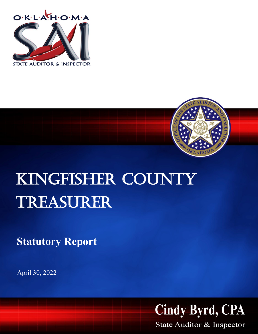



## KINGFISHER COUNTY Treasurer

**Statutory Report**

April 30, 2022



State Auditor & Inspector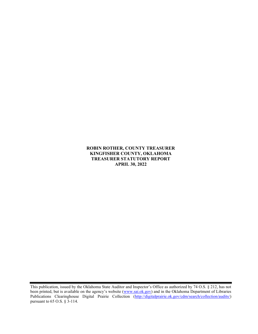## ROBIN ROTHER, COUNTY TREASURER KINGFISHER COUNTY, OKLAHOMA TREASURER STATUTORY REPORT APRIL 30, 2022

This publication, issued by the Oklahoma State Auditor and Inspector's Office as authorized by 74 O.S. § 212, has not been printed, but is available on the agency's website (www.sai.ok.gov) and in the Oklahoma Department of Libraries Publications Clearinghouse Digital Prairie Collection (http://digitalprairie.ok.gov/cdm/search/collection/audits/) pursuant to 65 O.S. § 3-114.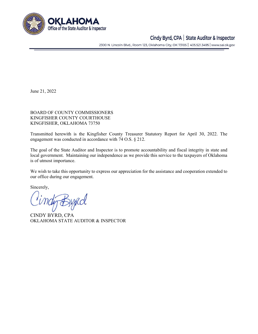

## Cindy Byrd, CPA | State Auditor & Inspector

2300 N. Lincoln Blvd., Room 123, Oklahoma City, OK 73105 | 405.521.3495 | www.sai.ok.gov

June 21, 2022

BOARD OF COUNTY COMMISSIONERS KINGFISHER COUNTY COURTHOUSE KINGFISHER, OKLAHOMA 73750

Transmitted herewith is the Kingfisher County Treasurer Statutory Report for April 30, 2022. The engagement was conducted in accordance with 74 O.S. § 212.

The goal of the State Auditor and Inspector is to promote accountability and fiscal integrity in state and local government. Maintaining our independence as we provide this service to the taxpayers of Oklahoma is of utmost importance.

We wish to take this opportunity to express our appreciation for the assistance and cooperation extended to our office during our engagement.

Sincerely,

CINDY BYRD, CPA OKLAHOMA STATE AUDITOR & INSPECTOR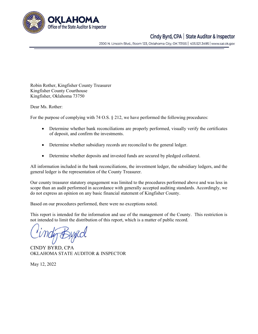

## Cindy Byrd, CPA | State Auditor & Inspector

2300 N. Lincoln Blvd., Room 123, Oklahoma City, OK 73105 | 405.521.3495 | www.sai.ok.gov

Robin Rother, Kingfisher County Treasurer Kingfisher County Courthouse Kingfisher, Oklahoma 73750

Dear Ms. Rother:

For the purpose of complying with 74 O.S. § 212, we have performed the following procedures:

- Determine whether bank reconciliations are properly performed, visually verify the certificates of deposit, and confirm the investments.
- Determine whether subsidiary records are reconciled to the general ledger.
- Determine whether deposits and invested funds are secured by pledged collateral.

All information included in the bank reconciliations, the investment ledger, the subsidiary ledgers, and the general ledger is the representation of the County Treasurer.

Our county treasurer statutory engagement was limited to the procedures performed above and was less in scope than an audit performed in accordance with generally accepted auditing standards. Accordingly, we do not express an opinion on any basic financial statement of Kingfisher County.

Based on our procedures performed, there were no exceptions noted.

This report is intended for the information and use of the management of the County. This restriction is not intended to limit the distribution of this report, which is a matter of public record.

CINDY BYRD, CPA OKLAHOMA STATE AUDITOR & INSPECTOR

May 12, 2022